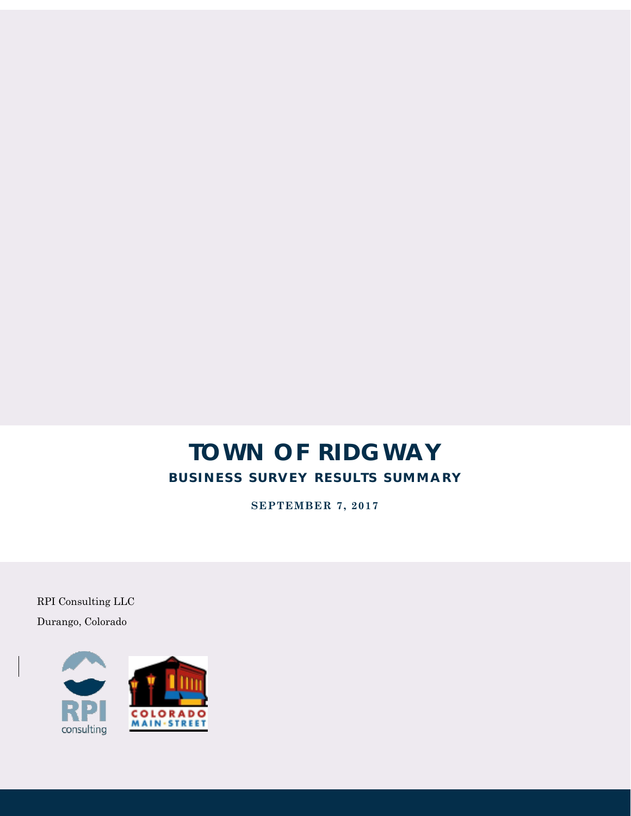## **TOWN OF RIDGWAY BUSINESS SURVEY RESULTS SUMMARY**

**SEPTEMBER 7, 2017**

RPI Consulting LLC Durango, Colorado

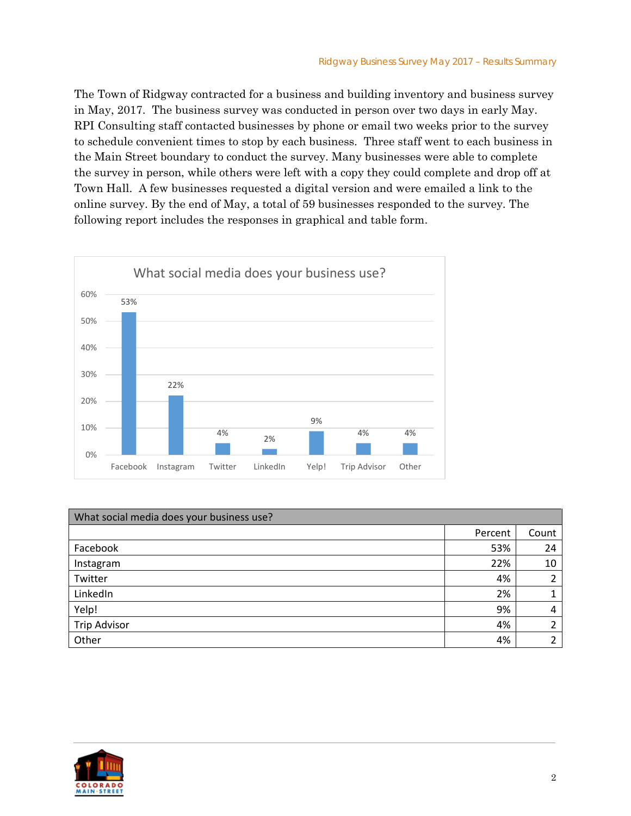The Town of Ridgway contracted for a business and building inventory and business survey in May, 2017. The business survey was conducted in person over two days in early May. RPI Consulting staff contacted businesses by phone or email two weeks prior to the survey to schedule convenient times to stop by each business. Three staff went to each business in the Main Street boundary to conduct the survey. Many businesses were able to complete the survey in person, while others were left with a copy they could complete and drop off at Town Hall. A few businesses requested a digital version and were emailed a link to the online survey. By the end of May, a total of 59 businesses responded to the survey. The following report includes the responses in graphical and table form.



| What social media does your business use? |         |       |
|-------------------------------------------|---------|-------|
|                                           | Percent | Count |
| Facebook                                  | 53%     | 24    |
| Instagram                                 | 22%     | 10    |
| Twitter                                   | 4%      | 2     |
| LinkedIn                                  | 2%      |       |
| Yelp!                                     | 9%      | 4     |
| <b>Trip Advisor</b>                       | 4%      | ົ     |
| Other                                     | 4%      | ∍     |

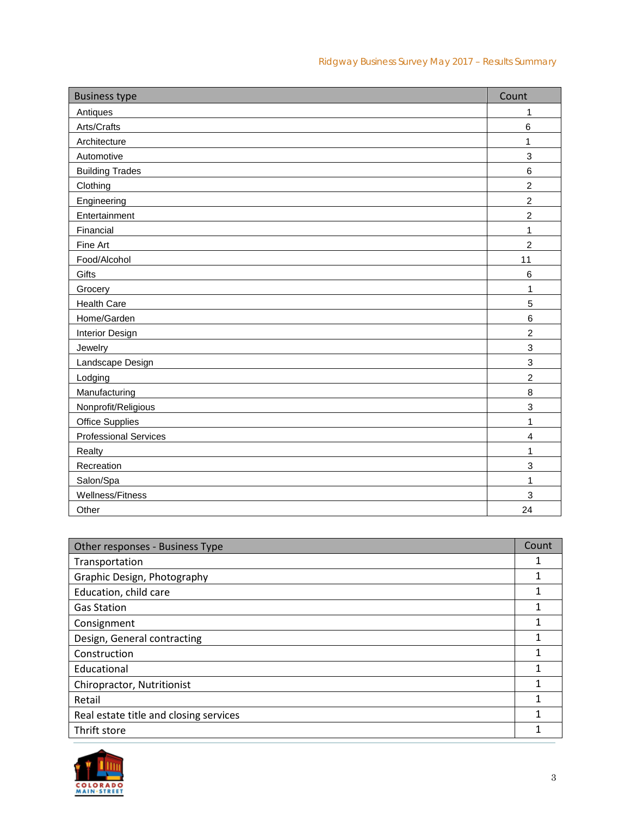| <b>Business type</b>         | Count                   |
|------------------------------|-------------------------|
| Antiques                     | 1                       |
| Arts/Crafts                  | $\,6$                   |
| Architecture                 | 1                       |
| Automotive                   | 3                       |
| <b>Building Trades</b>       | 6                       |
| Clothing                     | $\overline{c}$          |
| Engineering                  | $\overline{c}$          |
| Entertainment                | $\overline{c}$          |
| Financial                    | 1                       |
| Fine Art                     | $\boldsymbol{2}$        |
| Food/Alcohol                 | 11                      |
| Gifts                        | 6                       |
| Grocery                      | 1                       |
| <b>Health Care</b>           | 5                       |
| Home/Garden                  | 6                       |
| Interior Design              | $\overline{c}$          |
| Jewelry                      | 3                       |
| Landscape Design             | $\,$ 3 $\,$             |
| Lodging                      | $\overline{c}$          |
| Manufacturing                | 8                       |
| Nonprofit/Religious          | 3                       |
| <b>Office Supplies</b>       | 1                       |
| <b>Professional Services</b> | $\overline{\mathbf{4}}$ |
| Realty                       | 1                       |
| Recreation                   | 3                       |
| Salon/Spa                    | 1                       |
| <b>Wellness/Fitness</b>      | 3                       |
| Other                        | 24                      |

| Other responses - Business Type        | Count |
|----------------------------------------|-------|
| Transportation                         |       |
| Graphic Design, Photography            |       |
| Education, child care                  |       |
| <b>Gas Station</b>                     |       |
| Consignment                            |       |
| Design, General contracting            |       |
| Construction                           |       |
| Educational                            |       |
| Chiropractor, Nutritionist             |       |
| Retail                                 |       |
| Real estate title and closing services |       |
| Thrift store                           |       |

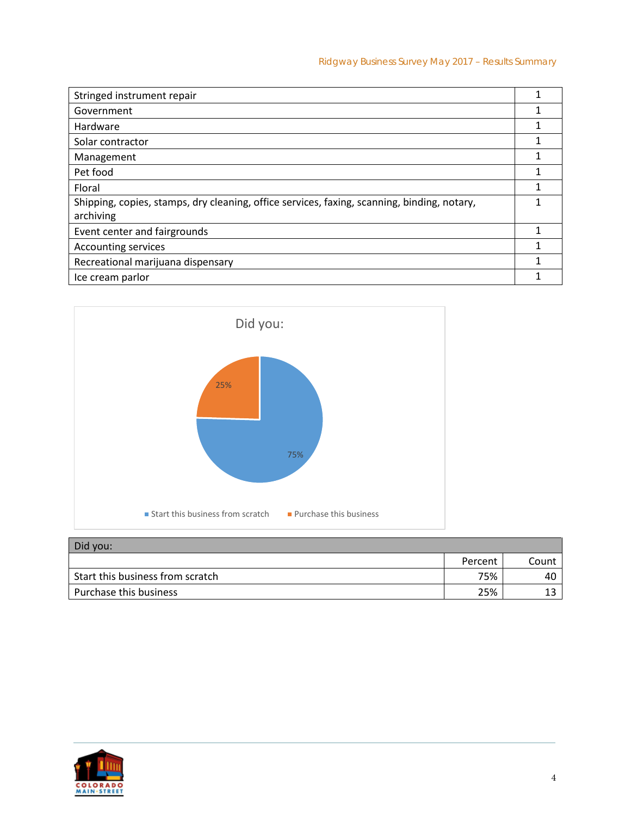| Stringed instrument repair                                                                               |  |
|----------------------------------------------------------------------------------------------------------|--|
| Government                                                                                               |  |
| Hardware                                                                                                 |  |
| Solar contractor                                                                                         |  |
| Management                                                                                               |  |
| Pet food                                                                                                 |  |
| Floral                                                                                                   |  |
| Shipping, copies, stamps, dry cleaning, office services, faxing, scanning, binding, notary,<br>archiving |  |
| Event center and fairgrounds                                                                             |  |
| <b>Accounting services</b>                                                                               |  |
| Recreational marijuana dispensary                                                                        |  |
| Ice cream parlor                                                                                         |  |



## Did you:

|                                  | Percent | Count |
|----------------------------------|---------|-------|
| Start this business from scratch | 75%     | 40    |
| Purchase this business           | 25%     | ∸~    |

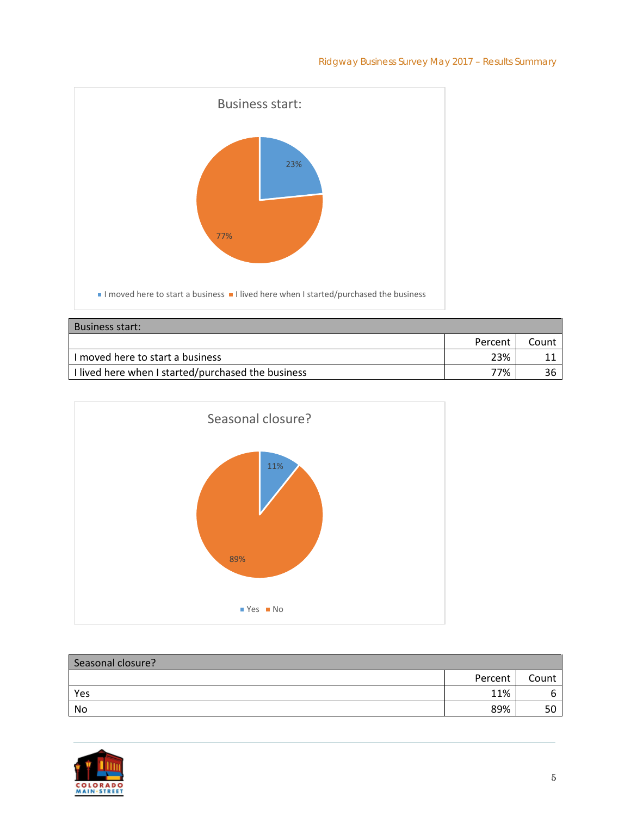

| <b>Business start:</b>                             |         |       |
|----------------------------------------------------|---------|-------|
|                                                    | Percent | Count |
| I moved here to start a business                   | 23%     |       |
| I lived here when I started/purchased the business | 77%     |       |



| Seasonal closure? |         |       |
|-------------------|---------|-------|
|                   | Percent | Count |
| Yes               | 11%     | ь     |
| No                | 89%     | 50    |

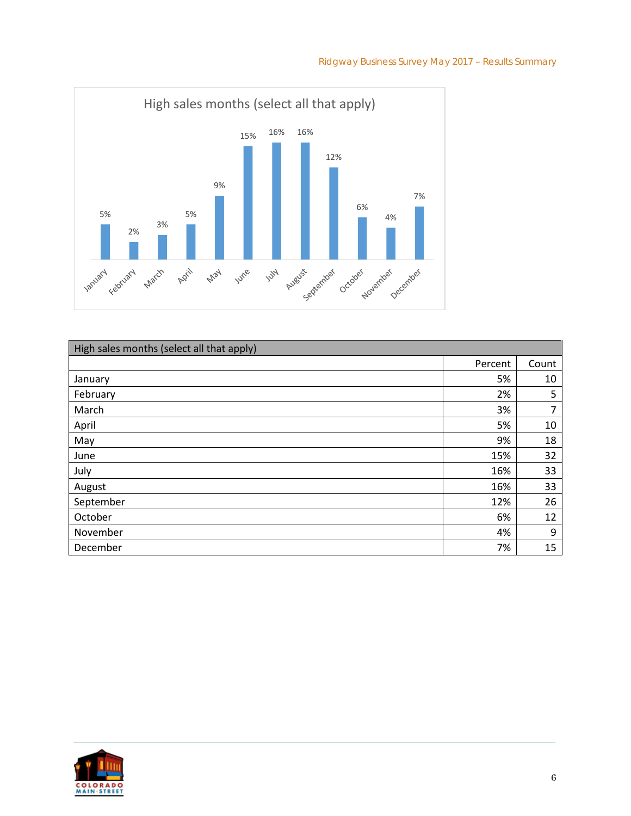



| High sales months (select all that apply) |         |       |
|-------------------------------------------|---------|-------|
|                                           | Percent | Count |
| January                                   | 5%      | 10    |
| February                                  | 2%      | 5     |
| March                                     | 3%      | 7     |
| April                                     | 5%      | 10    |
| May                                       | 9%      | 18    |
| June                                      | 15%     | 32    |
| July                                      | 16%     | 33    |
| August                                    | 16%     | 33    |
| September                                 | 12%     | 26    |
| October                                   | 6%      | 12    |
| November                                  | 4%      | 9     |
| December                                  | 7%      | 15    |

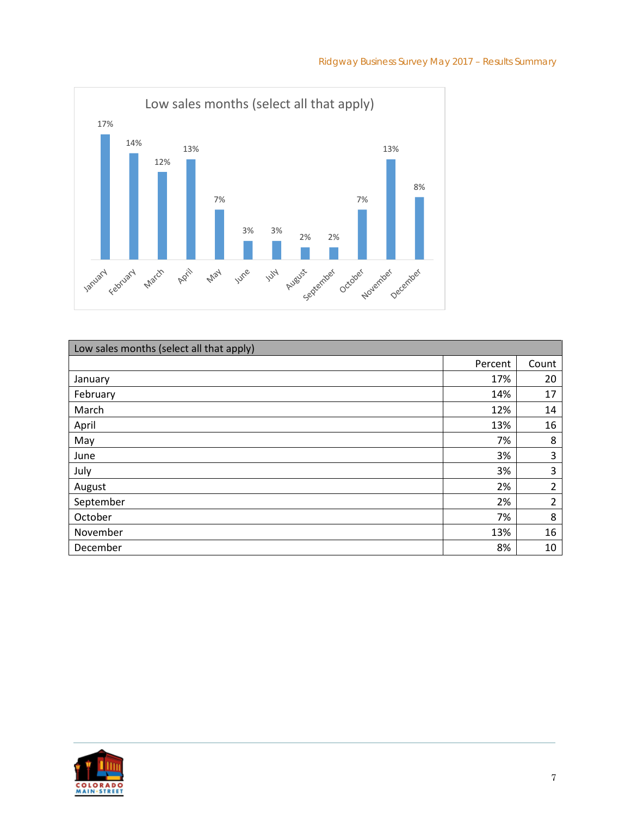

| Low sales months (select all that apply) |         |                |
|------------------------------------------|---------|----------------|
|                                          | Percent | Count          |
| January                                  | 17%     | 20             |
| February                                 | 14%     | 17             |
| March                                    | 12%     | 14             |
| April                                    | 13%     | 16             |
| May                                      | 7%      | 8              |
| June                                     | 3%      | 3              |
| July                                     | 3%      | 3              |
| August                                   | 2%      | $\overline{2}$ |
| September                                | 2%      | $\overline{2}$ |
| October                                  | 7%      | 8              |
| November                                 | 13%     | 16             |
| December                                 | 8%      | 10             |

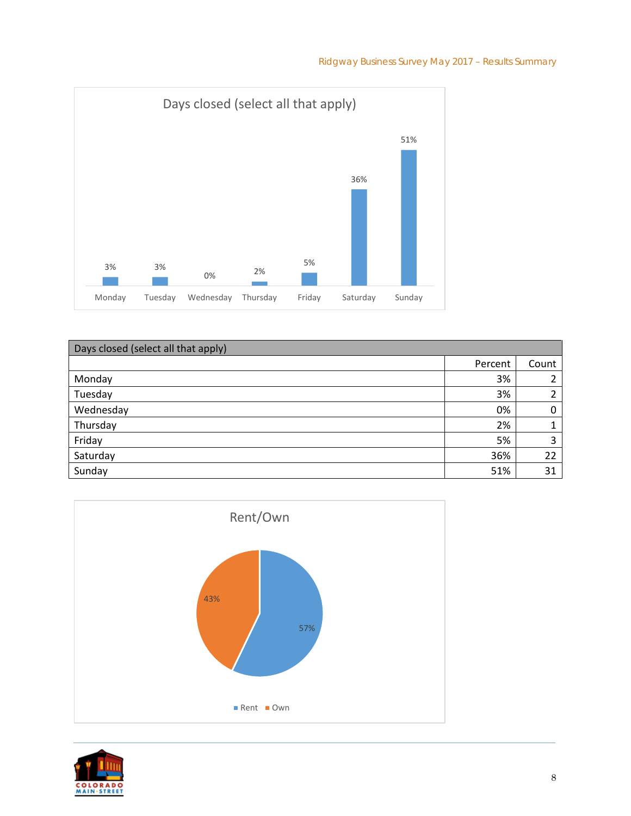

| Days closed (select all that apply) |         |       |
|-------------------------------------|---------|-------|
|                                     | Percent | Count |
| Monday                              | 3%      | ำ     |
| Tuesday                             | 3%      | າ     |
| Wednesday                           | 0%      | 0     |
| Thursday                            | 2%      |       |
| Friday                              | 5%      | 3     |
| Saturday                            | 36%     | 22    |
| Sunday                              | 51%     | 31    |



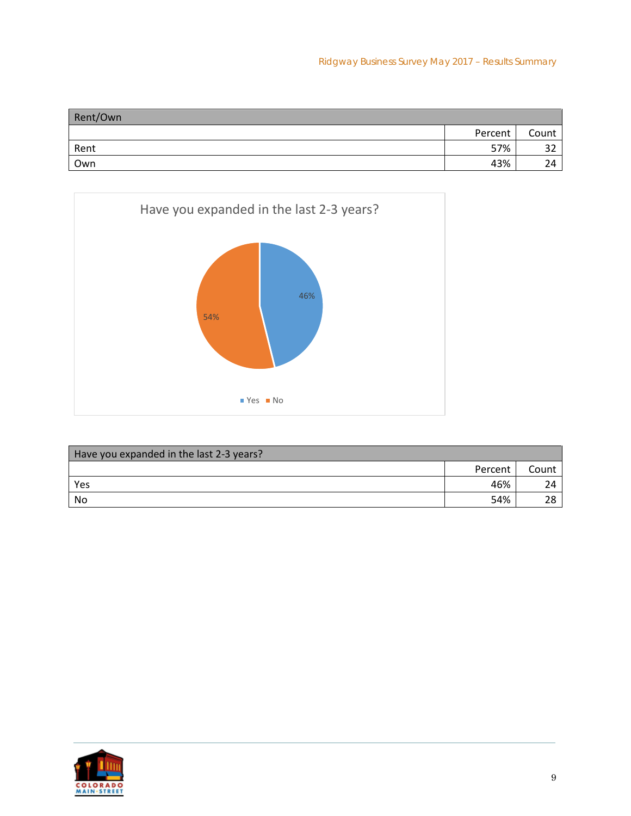| Rent/Own |         |       |
|----------|---------|-------|
|          | Percent | Count |
| Rent     | 57%     | ے ر   |
| Own      | 43%     |       |



| Have you expanded in the last 2-3 years? |         |       |
|------------------------------------------|---------|-------|
|                                          | Percent | Count |
| Yes                                      | 46%     |       |
| No                                       | 54%     |       |

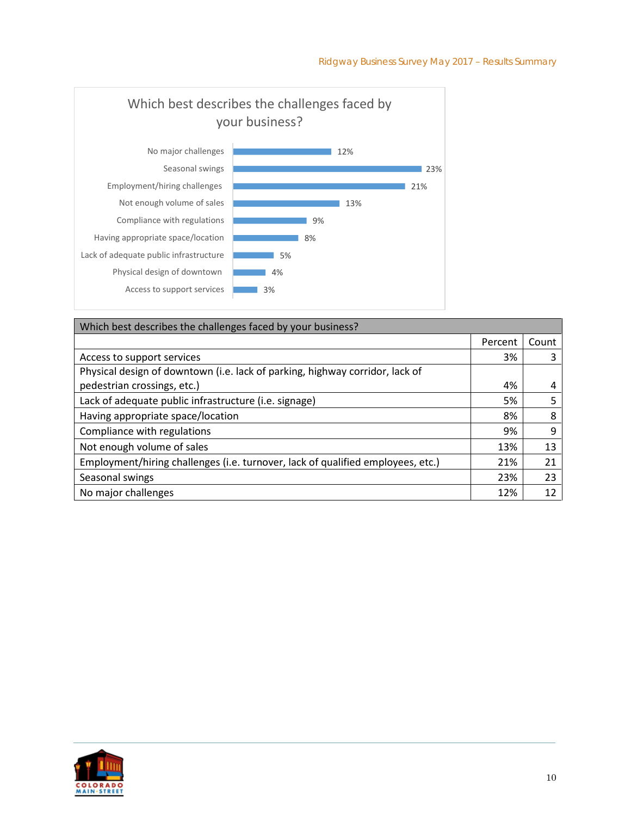

| Which best describes the challenges faced by your business?                     |         |       |
|---------------------------------------------------------------------------------|---------|-------|
|                                                                                 | Percent | Count |
| Access to support services                                                      | 3%      |       |
| Physical design of downtown (i.e. lack of parking, highway corridor, lack of    |         |       |
| pedestrian crossings, etc.)                                                     | 4%      |       |
| Lack of adequate public infrastructure (i.e. signage)                           | 5%      |       |
| Having appropriate space/location                                               | 8%      | 8     |
| Compliance with regulations                                                     | 9%      | 9     |
| Not enough volume of sales                                                      | 13%     | 13    |
| Employment/hiring challenges (i.e. turnover, lack of qualified employees, etc.) | 21%     | 21    |
| Seasonal swings                                                                 | 23%     | 23    |
| No major challenges                                                             | 12%     | 12    |

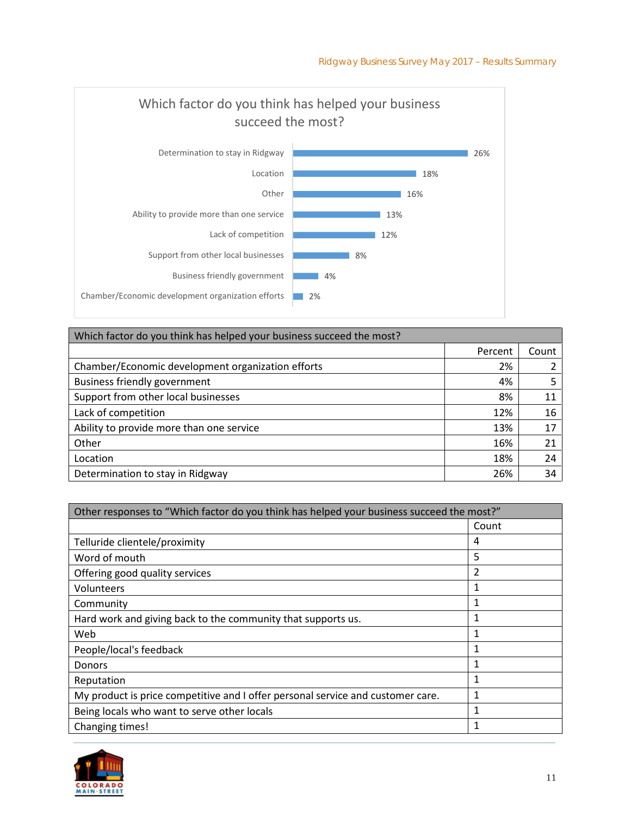

| Which factor do you think has helped your business succeed the most? |         |       |
|----------------------------------------------------------------------|---------|-------|
|                                                                      | Percent | Count |
| Chamber/Economic development organization efforts                    | 2%      |       |
| <b>Business friendly government</b>                                  | 4%      |       |
| Support from other local businesses                                  | 8%      | 11    |
| Lack of competition                                                  | 12%     | 16    |
| Ability to provide more than one service                             | 13%     | 17    |
| Other                                                                | 16%     | 21    |
| Location                                                             | 18%     | 24    |
| Determination to stay in Ridgway                                     | 26%     | 34    |

| Other responses to "Which factor do you think has helped your business succeed the most?" |              |
|-------------------------------------------------------------------------------------------|--------------|
|                                                                                           | Count        |
| Telluride clientele/proximity                                                             | 4            |
| Word of mouth                                                                             | 5            |
| Offering good quality services                                                            | 2            |
| Volunteers                                                                                | 1            |
| Community                                                                                 | 1            |
| Hard work and giving back to the community that supports us.                              | 1            |
| Web                                                                                       | 1            |
| People/local's feedback                                                                   | 1            |
| <b>Donors</b>                                                                             | 1            |
| Reputation                                                                                | 1            |
| My product is price competitive and I offer personal service and customer care.           | 1            |
| Being locals who want to serve other locals                                               | $\mathbf{1}$ |
| Changing times!                                                                           |              |

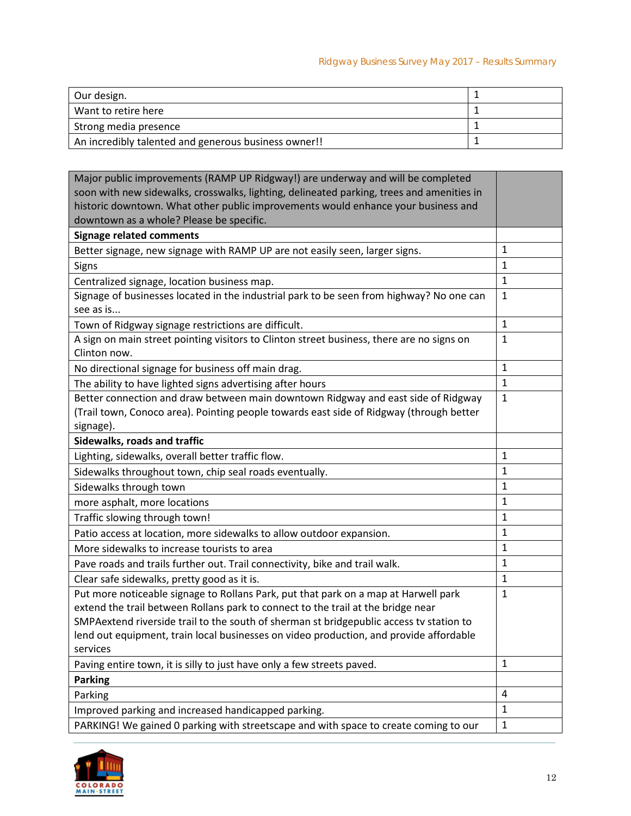| Our design.                                          |  |
|------------------------------------------------------|--|
| Want to retire here                                  |  |
| Strong media presence                                |  |
| An incredibly talented and generous business owner!! |  |

| Major public improvements (RAMP UP Ridgway!) are underway and will be completed<br>soon with new sidewalks, crosswalks, lighting, delineated parking, trees and amenities in |              |
|------------------------------------------------------------------------------------------------------------------------------------------------------------------------------|--------------|
| historic downtown. What other public improvements would enhance your business and                                                                                            |              |
| downtown as a whole? Please be specific.                                                                                                                                     |              |
| <b>Signage related comments</b>                                                                                                                                              |              |
| Better signage, new signage with RAMP UP are not easily seen, larger signs.                                                                                                  | 1            |
| Signs                                                                                                                                                                        | $\mathbf{1}$ |
| Centralized signage, location business map.                                                                                                                                  | $\mathbf{1}$ |
| Signage of businesses located in the industrial park to be seen from highway? No one can                                                                                     | $\mathbf{1}$ |
| see as is                                                                                                                                                                    |              |
| Town of Ridgway signage restrictions are difficult.                                                                                                                          | $\mathbf{1}$ |
| A sign on main street pointing visitors to Clinton street business, there are no signs on<br>Clinton now.                                                                    | $\mathbf{1}$ |
| No directional signage for business off main drag.                                                                                                                           | $\mathbf{1}$ |
| The ability to have lighted signs advertising after hours                                                                                                                    | $\mathbf{1}$ |
| Better connection and draw between main downtown Ridgway and east side of Ridgway                                                                                            | $\mathbf{1}$ |
| (Trail town, Conoco area). Pointing people towards east side of Ridgway (through better                                                                                      |              |
| signage).                                                                                                                                                                    |              |
| Sidewalks, roads and traffic                                                                                                                                                 |              |
| Lighting, sidewalks, overall better traffic flow.                                                                                                                            | 1            |
| Sidewalks throughout town, chip seal roads eventually.                                                                                                                       | $\mathbf{1}$ |
| Sidewalks through town                                                                                                                                                       | 1            |
| more asphalt, more locations                                                                                                                                                 | $\mathbf{1}$ |
| Traffic slowing through town!                                                                                                                                                | $\mathbf{1}$ |
| Patio access at location, more sidewalks to allow outdoor expansion.                                                                                                         | $\mathbf{1}$ |
| More sidewalks to increase tourists to area                                                                                                                                  | $\mathbf{1}$ |
| Pave roads and trails further out. Trail connectivity, bike and trail walk.                                                                                                  | $\mathbf{1}$ |
| Clear safe sidewalks, pretty good as it is.                                                                                                                                  | $\mathbf{1}$ |
| Put more noticeable signage to Rollans Park, put that park on a map at Harwell park                                                                                          | $\mathbf{1}$ |
| extend the trail between Rollans park to connect to the trail at the bridge near                                                                                             |              |
| SMPAextend riverside trail to the south of sherman st bridgepublic access tv station to                                                                                      |              |
| lend out equipment, train local businesses on video production, and provide affordable                                                                                       |              |
| services                                                                                                                                                                     |              |
| Paving entire town, it is silly to just have only a few streets paved.                                                                                                       | $\mathbf{1}$ |
| <b>Parking</b>                                                                                                                                                               |              |
| Parking                                                                                                                                                                      | 4            |
| Improved parking and increased handicapped parking.                                                                                                                          | $\mathbf{1}$ |
| PARKING! We gained 0 parking with streetscape and with space to create coming to our                                                                                         | $\mathbf{1}$ |

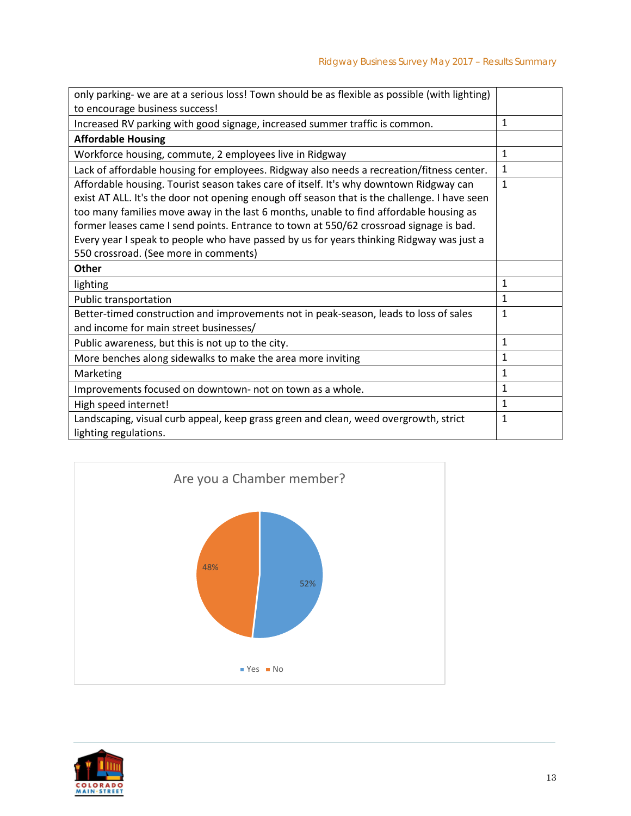| only parking- we are at a serious loss! Town should be as flexible as possible (with lighting)                                                                                                                                                                                                                                                                             |              |
|----------------------------------------------------------------------------------------------------------------------------------------------------------------------------------------------------------------------------------------------------------------------------------------------------------------------------------------------------------------------------|--------------|
| to encourage business success!                                                                                                                                                                                                                                                                                                                                             |              |
| Increased RV parking with good signage, increased summer traffic is common.                                                                                                                                                                                                                                                                                                | $\mathbf{1}$ |
| <b>Affordable Housing</b>                                                                                                                                                                                                                                                                                                                                                  |              |
| Workforce housing, commute, 2 employees live in Ridgway                                                                                                                                                                                                                                                                                                                    | $\mathbf{1}$ |
| Lack of affordable housing for employees. Ridgway also needs a recreation/fitness center.                                                                                                                                                                                                                                                                                  | $\mathbf{1}$ |
| Affordable housing. Tourist season takes care of itself. It's why downtown Ridgway can<br>exist AT ALL. It's the door not opening enough off season that is the challenge. I have seen<br>too many families move away in the last 6 months, unable to find affordable housing as<br>former leases came I send points. Entrance to town at 550/62 crossroad signage is bad. | $\mathbf{1}$ |
| Every year I speak to people who have passed by us for years thinking Ridgway was just a                                                                                                                                                                                                                                                                                   |              |
| 550 crossroad. (See more in comments)                                                                                                                                                                                                                                                                                                                                      |              |
| <b>Other</b>                                                                                                                                                                                                                                                                                                                                                               |              |
| lighting                                                                                                                                                                                                                                                                                                                                                                   | $\mathbf{1}$ |
| Public transportation                                                                                                                                                                                                                                                                                                                                                      | $\mathbf{1}$ |
| Better-timed construction and improvements not in peak-season, leads to loss of sales<br>and income for main street businesses/                                                                                                                                                                                                                                            | $\mathbf{1}$ |
|                                                                                                                                                                                                                                                                                                                                                                            |              |
| Public awareness, but this is not up to the city.                                                                                                                                                                                                                                                                                                                          | $\mathbf{1}$ |
| More benches along sidewalks to make the area more inviting                                                                                                                                                                                                                                                                                                                | $\mathbf{1}$ |
| Marketing                                                                                                                                                                                                                                                                                                                                                                  | $\mathbf{1}$ |
| Improvements focused on downtown- not on town as a whole.                                                                                                                                                                                                                                                                                                                  | $\mathbf{1}$ |
| High speed internet!                                                                                                                                                                                                                                                                                                                                                       | $\mathbf{1}$ |
| Landscaping, visual curb appeal, keep grass green and clean, weed overgrowth, strict<br>lighting regulations.                                                                                                                                                                                                                                                              | $\mathbf{1}$ |



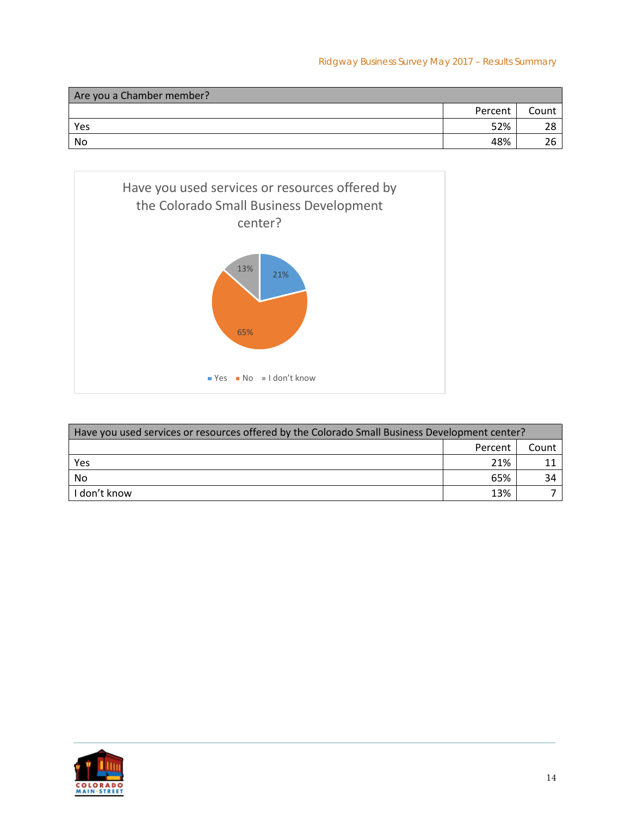Ridgway Business Survey May 2017 – Results Summary

| Are you a Chamber member? |         |       |
|---------------------------|---------|-------|
|                           | Percent | Count |
| Yes                       | 52%     |       |
| No                        | 48%     |       |



| Have you used services or resources offered by the Colorado Small Business Development center? |         |       |
|------------------------------------------------------------------------------------------------|---------|-------|
|                                                                                                | Percent | Count |
| Yes                                                                                            | 21%     |       |
| No                                                                                             | 65%     | 34    |
| I don't know                                                                                   | 13%     |       |

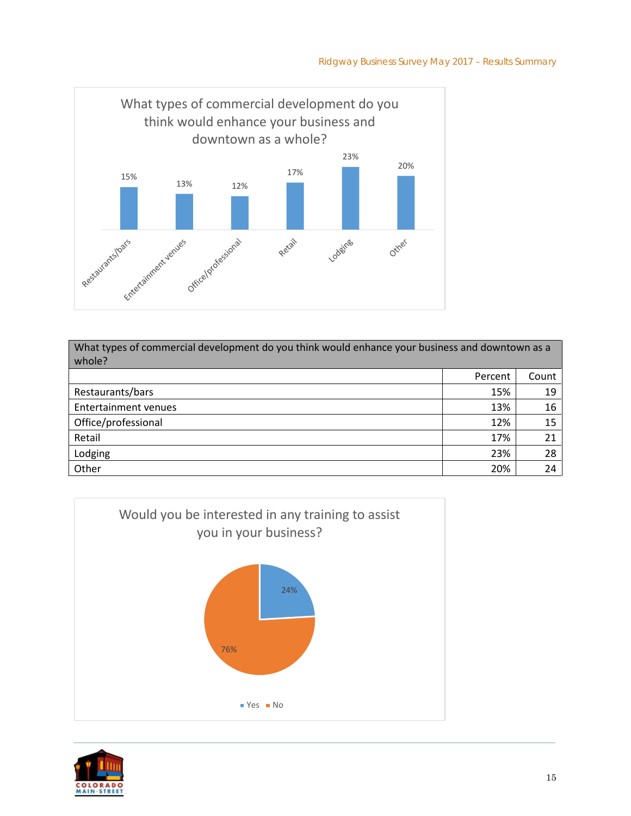

| What types of commercial development do you think would enhance your business and downtown as a<br>whole? |         |       |
|-----------------------------------------------------------------------------------------------------------|---------|-------|
|                                                                                                           | Percent | Count |
| Restaurants/bars                                                                                          | 15%     | 19    |
| <b>Entertainment venues</b>                                                                               | 13%     | 16    |
| Office/professional                                                                                       | 12%     | 15    |
| Retail                                                                                                    | 17%     | 21    |
| Lodging                                                                                                   | 23%     | 28    |
| Other                                                                                                     | 20%     | 24    |



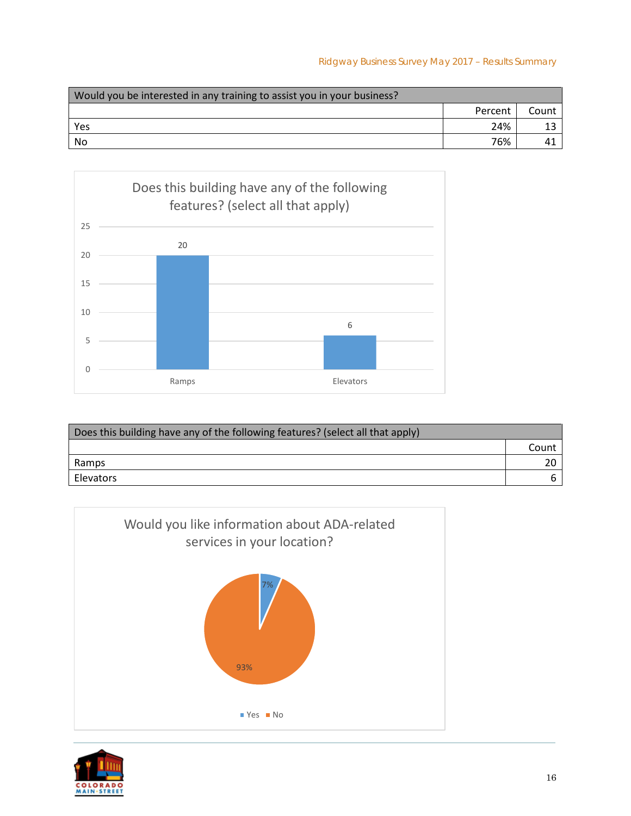| Would you be interested in any training to assist you in your business? |         |       |
|-------------------------------------------------------------------------|---------|-------|
|                                                                         | Percent | Count |
| Yes                                                                     | 24%     |       |
| No                                                                      | 76%     |       |



| Does this building have any of the following features? (select all that apply) |       |
|--------------------------------------------------------------------------------|-------|
|                                                                                | Count |
| Ramps                                                                          |       |
| Elevators                                                                      |       |



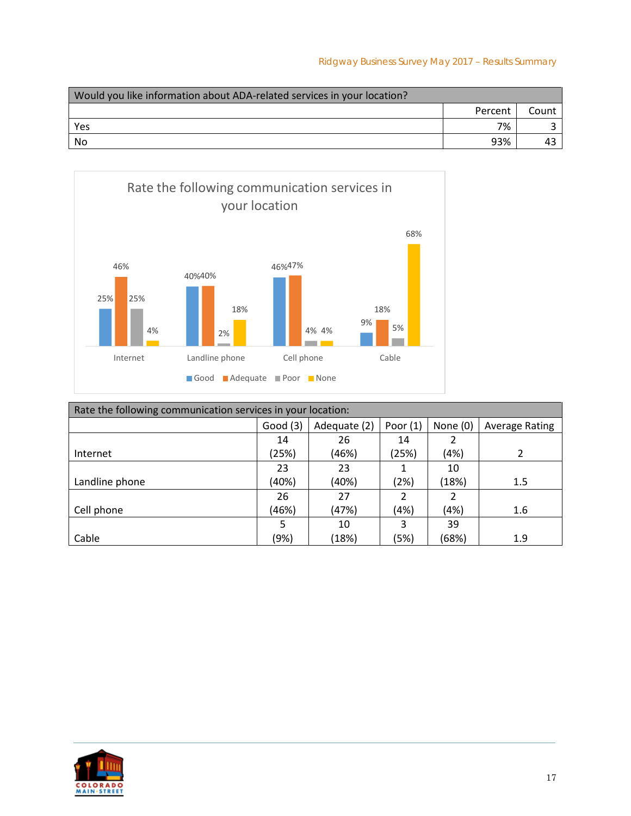| Would you like information about ADA-related services in your location? |         |       |
|-------------------------------------------------------------------------|---------|-------|
|                                                                         | Percent | Count |
| Yes                                                                     | 7%      |       |
| No                                                                      | 93%     |       |



| Rate the following communication services in your location: |         |              |            |                |                       |
|-------------------------------------------------------------|---------|--------------|------------|----------------|-----------------------|
|                                                             | Good(3) | Adequate (2) | Poor $(1)$ | None $(0)$     | <b>Average Rating</b> |
|                                                             | 14      | 26           | 14         | 2              |                       |
| Internet                                                    | (25%)   | (46%)        | (25%)      | (4%)           | $\mathfrak z$         |
|                                                             | 23      | 23           |            | 10             |                       |
| Landline phone                                              | (40%)   | (40%)        | (2%)       | (18%)          | 1.5                   |
|                                                             | 26      | 27           | 2          | $\mathfrak{p}$ |                       |
| Cell phone                                                  | (46%)   | (47%)        | (4%)       | (4%)           | 1.6                   |
|                                                             | 5       | 10           | 3          | 39             |                       |
| Cable                                                       | (9%)    | (18%)        | (5%)       | (68%)          | 1.9                   |

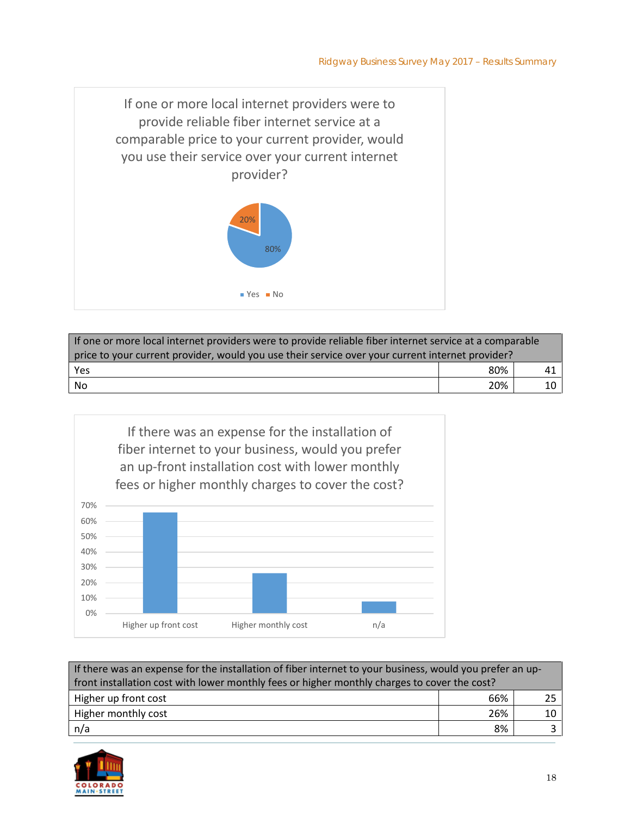

| If one or more local internet providers were to provide reliable fiber internet service at a comparable |     |    |  |
|---------------------------------------------------------------------------------------------------------|-----|----|--|
| price to your current provider, would you use their service over your current internet provider?        |     |    |  |
| Yes                                                                                                     | 80% | 41 |  |
| No                                                                                                      | 20% |    |  |



| If there was an expense for the installation of fiber internet to your business, would you prefer an up- |     |    |  |
|----------------------------------------------------------------------------------------------------------|-----|----|--|
| front installation cost with lower monthly fees or higher monthly charges to cover the cost?             |     |    |  |
| Higher up front cost                                                                                     | 66% | つに |  |
| Higher monthly cost                                                                                      | 26% | 10 |  |
| n/a                                                                                                      | 8%  |    |  |

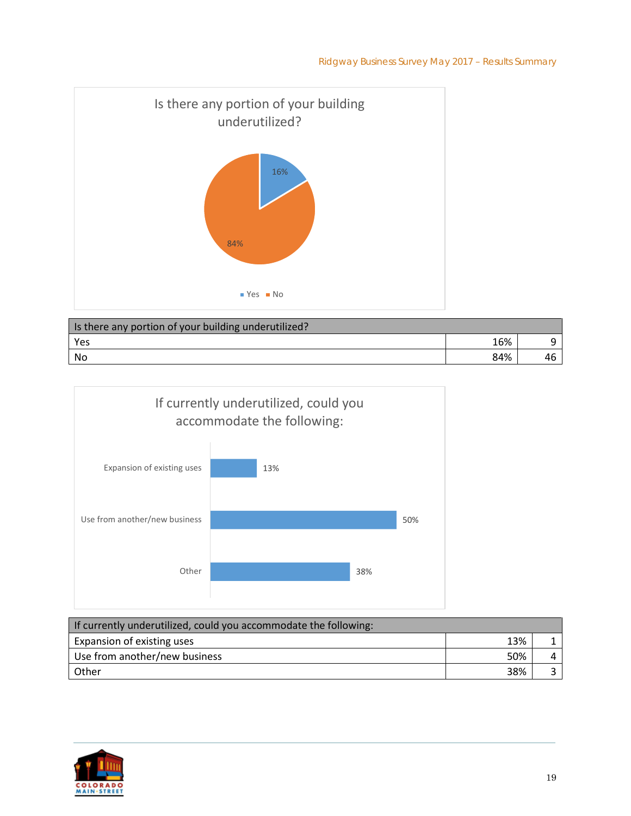

| Is there any portion of your building underutilized? |     |  |
|------------------------------------------------------|-----|--|
| Yes                                                  | 16% |  |
| No                                                   | 84% |  |



| If currently underutilized, could you accommodate the following: |     |  |
|------------------------------------------------------------------|-----|--|
| Expansion of existing uses                                       | 13% |  |
| Use from another/new business                                    | 50% |  |
| <b>Other</b>                                                     | 38% |  |

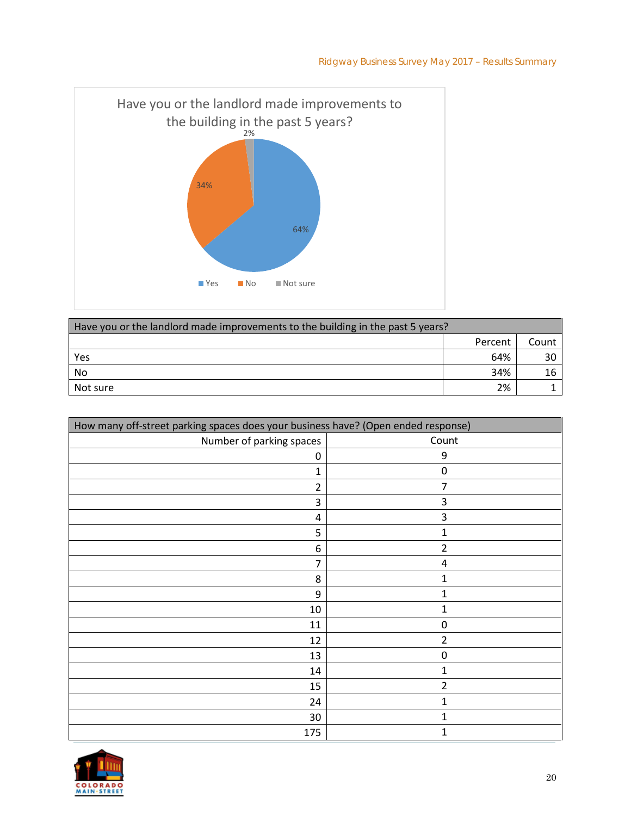

| Have you or the landlord made improvements to the building in the past 5 years? |         |       |  |
|---------------------------------------------------------------------------------|---------|-------|--|
|                                                                                 | Percent | Count |  |
| Yes                                                                             | 64%     |       |  |
| No                                                                              | 34%     |       |  |
| Not sure                                                                        | 2%      |       |  |

| How many off-street parking spaces does your business have? (Open ended response) |                |  |
|-----------------------------------------------------------------------------------|----------------|--|
| Number of parking spaces                                                          | Count          |  |
| 0                                                                                 | 9              |  |
| 1                                                                                 | 0              |  |
| $\overline{2}$                                                                    | 7              |  |
| 3                                                                                 | 3              |  |
| 4                                                                                 | 3              |  |
| 5                                                                                 | 1              |  |
| 6                                                                                 | $\overline{2}$ |  |
| 7                                                                                 | 4              |  |
| 8                                                                                 | 1              |  |
| 9                                                                                 | 1              |  |
| 10                                                                                | 1              |  |
| 11                                                                                | 0              |  |
| 12                                                                                | $\overline{2}$ |  |
| 13                                                                                | 0              |  |
| 14                                                                                | 1              |  |
| 15                                                                                | $\overline{2}$ |  |
| 24                                                                                | 1              |  |
| 30                                                                                | 1              |  |
| 175                                                                               | 1              |  |

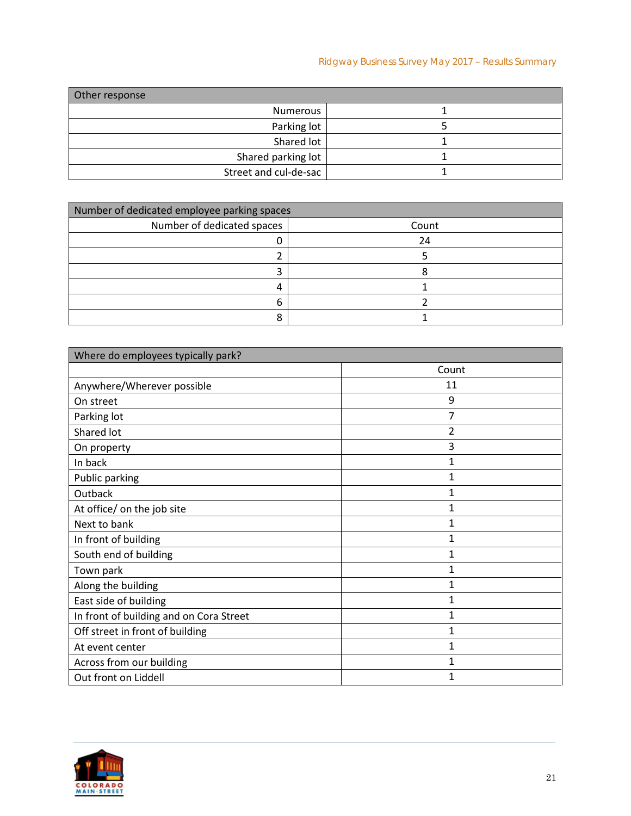## Ridgway Business Survey May 2017 – Results Summary

| Other response        |  |
|-----------------------|--|
| Numerous              |  |
| Parking lot           |  |
| Shared lot            |  |
| Shared parking lot    |  |
| Street and cul-de-sac |  |

| Number of dedicated employee parking spaces |       |  |  |
|---------------------------------------------|-------|--|--|
| Number of dedicated spaces                  | Count |  |  |
|                                             | 24    |  |  |
|                                             |       |  |  |
|                                             |       |  |  |
| 4                                           |       |  |  |
| n                                           |       |  |  |
|                                             |       |  |  |

| Where do employees typically park?      |              |  |
|-----------------------------------------|--------------|--|
|                                         | Count        |  |
| Anywhere/Wherever possible              | 11           |  |
| On street                               | 9            |  |
| Parking lot                             | 7            |  |
| Shared lot                              | 2            |  |
| On property                             | 3            |  |
| In back                                 | 1            |  |
| Public parking                          | 1            |  |
| Outback                                 | 1            |  |
| At office/ on the job site              | 1            |  |
| Next to bank                            | $\mathbf{1}$ |  |
| In front of building                    | 1            |  |
| South end of building                   | 1            |  |
| Town park                               | 1            |  |
| Along the building                      | 1            |  |
| East side of building                   | 1            |  |
| In front of building and on Cora Street | 1            |  |
| Off street in front of building         | 1            |  |
| At event center                         | 1            |  |
| Across from our building                | 1            |  |
| Out front on Liddell                    | 1            |  |